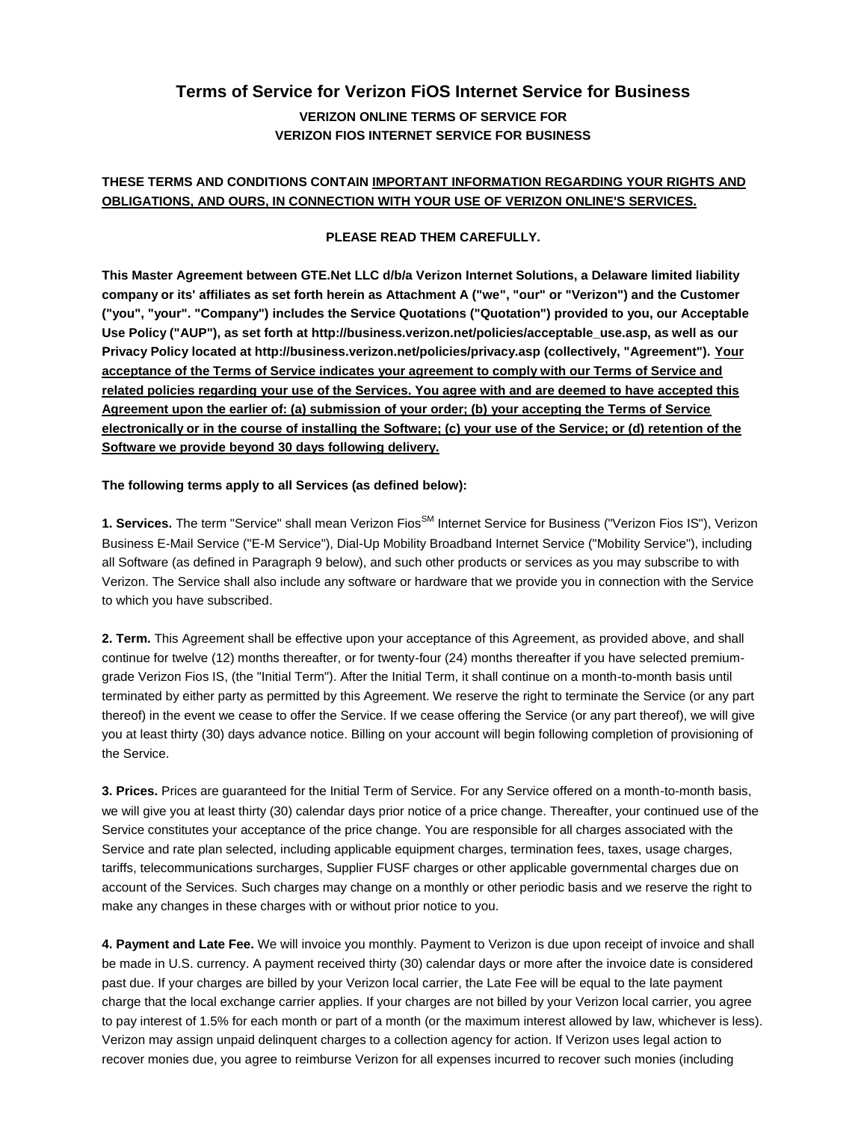# **Terms of Service for Verizon FiOS Internet Service for Business VERIZON ONLINE TERMS OF SERVICE FOR VERIZON FIOS INTERNET SERVICE FOR BUSINESS**

# **THESE TERMS AND CONDITIONS CONTAIN IMPORTANT INFORMATION REGARDING YOUR RIGHTS AND OBLIGATIONS, AND OURS, IN CONNECTION WITH YOUR USE OF VERIZON ONLINE'S SERVICES.**

## **PLEASE READ THEM CAREFULLY.**

**This Master Agreement between GTE.Net LLC d/b/a Verizon Internet Solutions, a Delaware limited liability company or its' affiliates as set forth herein as Attachment A ("we", "our" or "Verizon") and the Customer ("you", "your". "Company") includes the Service Quotations ("Quotation") provided to you, our Acceptable Use Policy ("AUP"), as set forth at http://business.verizon.net/policies/acceptable\_use.asp, as well as our Privacy Policy located at http://business.verizon.net/policies/privacy.asp (collectively, "Agreement"). Your acceptance of the Terms of Service indicates your agreement to comply with our Terms of Service and related policies regarding your use of the Services. You agree with and are deemed to have accepted this Agreement upon the earlier of: (a) submission of your order; (b) your accepting the Terms of Service electronically or in the course of installing the Software; (c) your use of the Service; or (d) retention of the Software we provide beyond 30 days following delivery.**

#### **The following terms apply to all Services (as defined below):**

1. Services. The term "Service" shall mean Verizon Fios<sup>SM</sup> Internet Service for Business ("Verizon Fios IS"), Verizon Business E-Mail Service ("E-M Service"), Dial-Up Mobility Broadband Internet Service ("Mobility Service"), including all Software (as defined in Paragraph 9 below), and such other products or services as you may subscribe to with Verizon. The Service shall also include any software or hardware that we provide you in connection with the Service to which you have subscribed.

**2. Term.** This Agreement shall be effective upon your acceptance of this Agreement, as provided above, and shall continue for twelve (12) months thereafter, or for twenty-four (24) months thereafter if you have selected premiumgrade Verizon Fios IS, (the "Initial Term"). After the Initial Term, it shall continue on a month-to-month basis until terminated by either party as permitted by this Agreement. We reserve the right to terminate the Service (or any part thereof) in the event we cease to offer the Service. If we cease offering the Service (or any part thereof), we will give you at least thirty (30) days advance notice. Billing on your account will begin following completion of provisioning of the Service.

**3. Prices.** Prices are guaranteed for the Initial Term of Service. For any Service offered on a month-to-month basis, we will give you at least thirty (30) calendar days prior notice of a price change. Thereafter, your continued use of the Service constitutes your acceptance of the price change. You are responsible for all charges associated with the Service and rate plan selected, including applicable equipment charges, termination fees, taxes, usage charges, tariffs, telecommunications surcharges, Supplier FUSF charges or other applicable governmental charges due on account of the Services. Such charges may change on a monthly or other periodic basis and we reserve the right to make any changes in these charges with or without prior notice to you.

**4. Payment and Late Fee.** We will invoice you monthly. Payment to Verizon is due upon receipt of invoice and shall be made in U.S. currency. A payment received thirty (30) calendar days or more after the invoice date is considered past due. If your charges are billed by your Verizon local carrier, the Late Fee will be equal to the late payment charge that the local exchange carrier applies. If your charges are not billed by your Verizon local carrier, you agree to pay interest of 1.5% for each month or part of a month (or the maximum interest allowed by law, whichever is less). Verizon may assign unpaid delinquent charges to a collection agency for action. If Verizon uses legal action to recover monies due, you agree to reimburse Verizon for all expenses incurred to recover such monies (including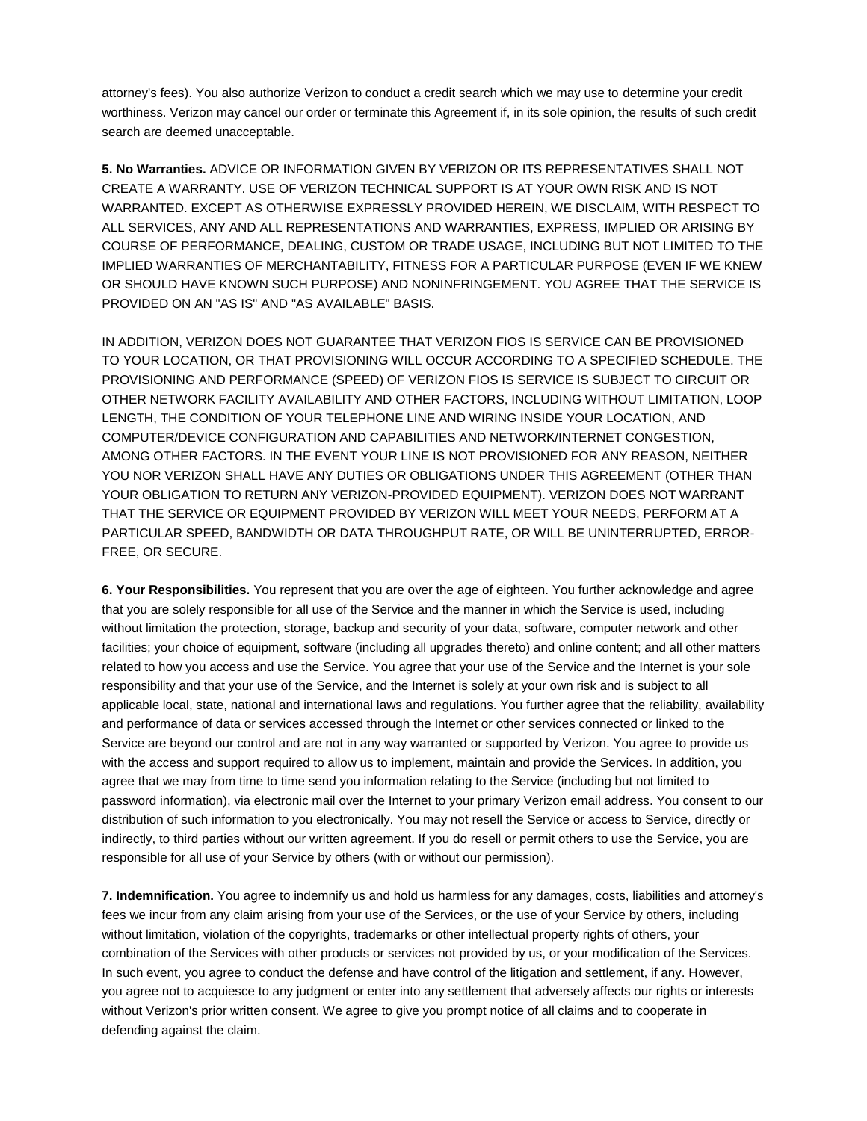attorney's fees). You also authorize Verizon to conduct a credit search which we may use to determine your credit worthiness. Verizon may cancel our order or terminate this Agreement if, in its sole opinion, the results of such credit search are deemed unacceptable.

**5. No Warranties.** ADVICE OR INFORMATION GIVEN BY VERIZON OR ITS REPRESENTATIVES SHALL NOT CREATE A WARRANTY. USE OF VERIZON TECHNICAL SUPPORT IS AT YOUR OWN RISK AND IS NOT WARRANTED. EXCEPT AS OTHERWISE EXPRESSLY PROVIDED HEREIN, WE DISCLAIM, WITH RESPECT TO ALL SERVICES, ANY AND ALL REPRESENTATIONS AND WARRANTIES, EXPRESS, IMPLIED OR ARISING BY COURSE OF PERFORMANCE, DEALING, CUSTOM OR TRADE USAGE, INCLUDING BUT NOT LIMITED TO THE IMPLIED WARRANTIES OF MERCHANTABILITY, FITNESS FOR A PARTICULAR PURPOSE (EVEN IF WE KNEW OR SHOULD HAVE KNOWN SUCH PURPOSE) AND NONINFRINGEMENT. YOU AGREE THAT THE SERVICE IS PROVIDED ON AN "AS IS" AND "AS AVAILABLE" BASIS.

IN ADDITION, VERIZON DOES NOT GUARANTEE THAT VERIZON FIOS IS SERVICE CAN BE PROVISIONED TO YOUR LOCATION, OR THAT PROVISIONING WILL OCCUR ACCORDING TO A SPECIFIED SCHEDULE. THE PROVISIONING AND PERFORMANCE (SPEED) OF VERIZON FIOS IS SERVICE IS SUBJECT TO CIRCUIT OR OTHER NETWORK FACILITY AVAILABILITY AND OTHER FACTORS, INCLUDING WITHOUT LIMITATION, LOOP LENGTH, THE CONDITION OF YOUR TELEPHONE LINE AND WIRING INSIDE YOUR LOCATION, AND COMPUTER/DEVICE CONFIGURATION AND CAPABILITIES AND NETWORK/INTERNET CONGESTION, AMONG OTHER FACTORS. IN THE EVENT YOUR LINE IS NOT PROVISIONED FOR ANY REASON, NEITHER YOU NOR VERIZON SHALL HAVE ANY DUTIES OR OBLIGATIONS UNDER THIS AGREEMENT (OTHER THAN YOUR OBLIGATION TO RETURN ANY VERIZON-PROVIDED EQUIPMENT). VERIZON DOES NOT WARRANT THAT THE SERVICE OR EQUIPMENT PROVIDED BY VERIZON WILL MEET YOUR NEEDS, PERFORM AT A PARTICULAR SPEED, BANDWIDTH OR DATA THROUGHPUT RATE, OR WILL BE UNINTERRUPTED, ERROR-FREE, OR SECURE.

**6. Your Responsibilities.** You represent that you are over the age of eighteen. You further acknowledge and agree that you are solely responsible for all use of the Service and the manner in which the Service is used, including without limitation the protection, storage, backup and security of your data, software, computer network and other facilities; your choice of equipment, software (including all upgrades thereto) and online content; and all other matters related to how you access and use the Service. You agree that your use of the Service and the Internet is your sole responsibility and that your use of the Service, and the Internet is solely at your own risk and is subject to all applicable local, state, national and international laws and regulations. You further agree that the reliability, availability and performance of data or services accessed through the Internet or other services connected or linked to the Service are beyond our control and are not in any way warranted or supported by Verizon. You agree to provide us with the access and support required to allow us to implement, maintain and provide the Services. In addition, you agree that we may from time to time send you information relating to the Service (including but not limited to password information), via electronic mail over the Internet to your primary Verizon email address. You consent to our distribution of such information to you electronically. You may not resell the Service or access to Service, directly or indirectly, to third parties without our written agreement. If you do resell or permit others to use the Service, you are responsible for all use of your Service by others (with or without our permission).

**7. Indemnification.** You agree to indemnify us and hold us harmless for any damages, costs, liabilities and attorney's fees we incur from any claim arising from your use of the Services, or the use of your Service by others, including without limitation, violation of the copyrights, trademarks or other intellectual property rights of others, your combination of the Services with other products or services not provided by us, or your modification of the Services. In such event, you agree to conduct the defense and have control of the litigation and settlement, if any. However, you agree not to acquiesce to any judgment or enter into any settlement that adversely affects our rights or interests without Verizon's prior written consent. We agree to give you prompt notice of all claims and to cooperate in defending against the claim.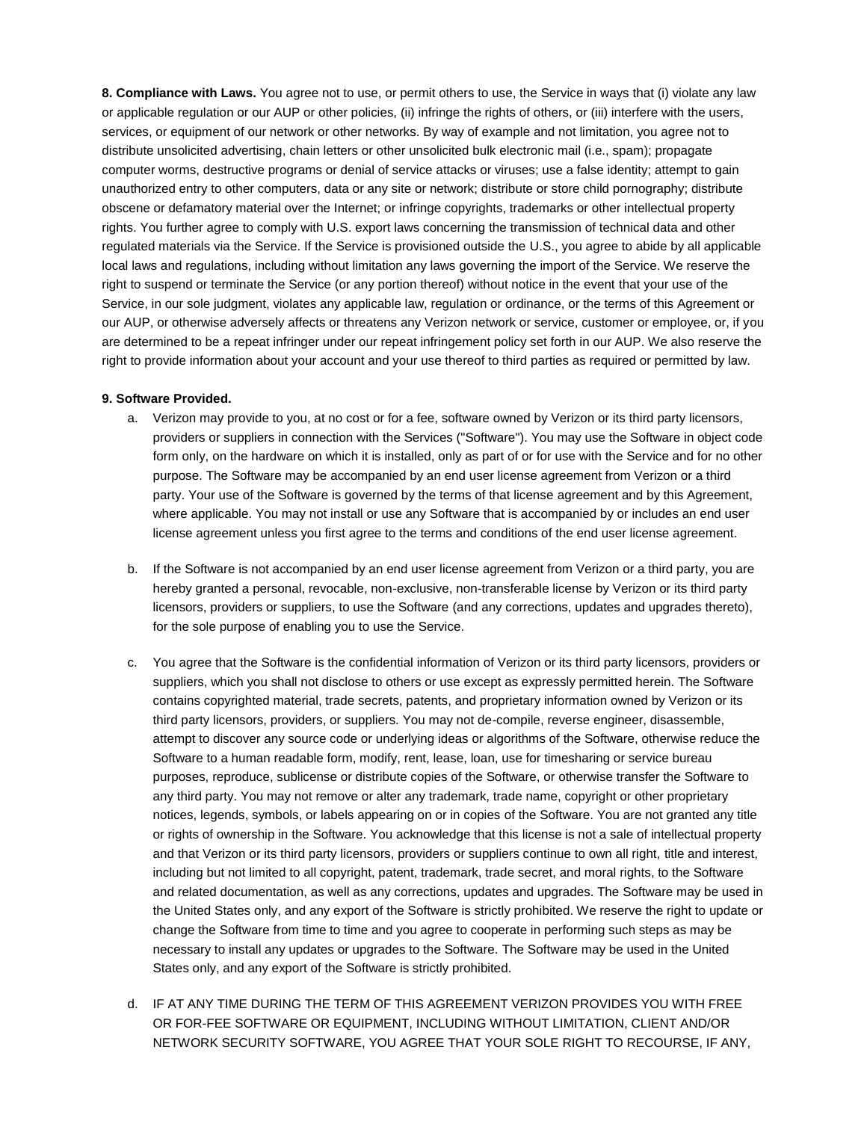**8. Compliance with Laws.** You agree not to use, or permit others to use, the Service in ways that (i) violate any law or applicable regulation or our AUP or other policies, (ii) infringe the rights of others, or (iii) interfere with the users, services, or equipment of our network or other networks. By way of example and not limitation, you agree not to distribute unsolicited advertising, chain letters or other unsolicited bulk electronic mail (i.e., spam); propagate computer worms, destructive programs or denial of service attacks or viruses; use a false identity; attempt to gain unauthorized entry to other computers, data or any site or network; distribute or store child pornography; distribute obscene or defamatory material over the Internet; or infringe copyrights, trademarks or other intellectual property rights. You further agree to comply with U.S. export laws concerning the transmission of technical data and other regulated materials via the Service. If the Service is provisioned outside the U.S., you agree to abide by all applicable local laws and regulations, including without limitation any laws governing the import of the Service. We reserve the right to suspend or terminate the Service (or any portion thereof) without notice in the event that your use of the Service, in our sole judgment, violates any applicable law, regulation or ordinance, or the terms of this Agreement or our AUP, or otherwise adversely affects or threatens any Verizon network or service, customer or employee, or, if you are determined to be a repeat infringer under our repeat infringement policy set forth in our AUP. We also reserve the right to provide information about your account and your use thereof to third parties as required or permitted by law.

#### **9. Software Provided.**

- a. Verizon may provide to you, at no cost or for a fee, software owned by Verizon or its third party licensors, providers or suppliers in connection with the Services ("Software"). You may use the Software in object code form only, on the hardware on which it is installed, only as part of or for use with the Service and for no other purpose. The Software may be accompanied by an end user license agreement from Verizon or a third party. Your use of the Software is governed by the terms of that license agreement and by this Agreement, where applicable. You may not install or use any Software that is accompanied by or includes an end user license agreement unless you first agree to the terms and conditions of the end user license agreement.
- b. If the Software is not accompanied by an end user license agreement from Verizon or a third party, you are hereby granted a personal, revocable, non-exclusive, non-transferable license by Verizon or its third party licensors, providers or suppliers, to use the Software (and any corrections, updates and upgrades thereto), for the sole purpose of enabling you to use the Service.
- c. You agree that the Software is the confidential information of Verizon or its third party licensors, providers or suppliers, which you shall not disclose to others or use except as expressly permitted herein. The Software contains copyrighted material, trade secrets, patents, and proprietary information owned by Verizon or its third party licensors, providers, or suppliers. You may not de-compile, reverse engineer, disassemble, attempt to discover any source code or underlying ideas or algorithms of the Software, otherwise reduce the Software to a human readable form, modify, rent, lease, loan, use for timesharing or service bureau purposes, reproduce, sublicense or distribute copies of the Software, or otherwise transfer the Software to any third party. You may not remove or alter any trademark, trade name, copyright or other proprietary notices, legends, symbols, or labels appearing on or in copies of the Software. You are not granted any title or rights of ownership in the Software. You acknowledge that this license is not a sale of intellectual property and that Verizon or its third party licensors, providers or suppliers continue to own all right, title and interest, including but not limited to all copyright, patent, trademark, trade secret, and moral rights, to the Software and related documentation, as well as any corrections, updates and upgrades. The Software may be used in the United States only, and any export of the Software is strictly prohibited. We reserve the right to update or change the Software from time to time and you agree to cooperate in performing such steps as may be necessary to install any updates or upgrades to the Software. The Software may be used in the United States only, and any export of the Software is strictly prohibited.
- d. IF AT ANY TIME DURING THE TERM OF THIS AGREEMENT VERIZON PROVIDES YOU WITH FREE OR FOR-FEE SOFTWARE OR EQUIPMENT, INCLUDING WITHOUT LIMITATION, CLIENT AND/OR NETWORK SECURITY SOFTWARE, YOU AGREE THAT YOUR SOLE RIGHT TO RECOURSE, IF ANY,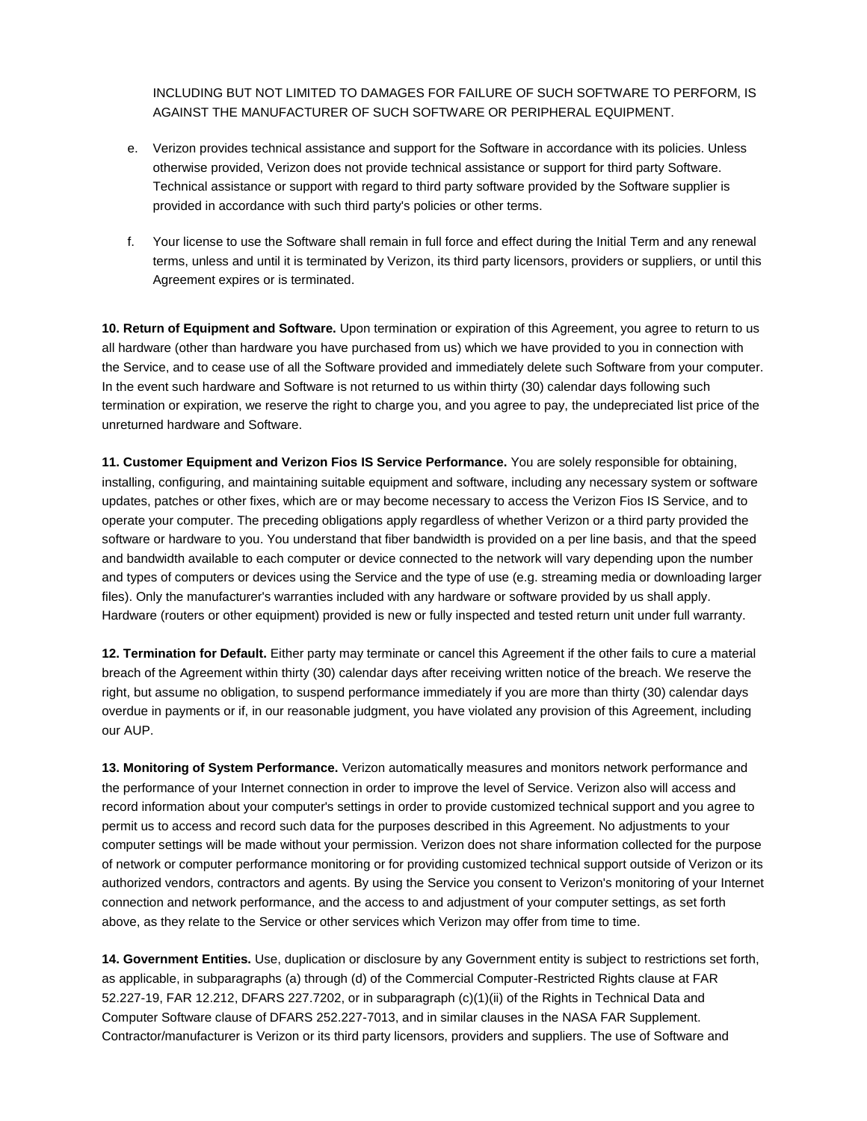INCLUDING BUT NOT LIMITED TO DAMAGES FOR FAILURE OF SUCH SOFTWARE TO PERFORM, IS AGAINST THE MANUFACTURER OF SUCH SOFTWARE OR PERIPHERAL EQUIPMENT.

- e. Verizon provides technical assistance and support for the Software in accordance with its policies. Unless otherwise provided, Verizon does not provide technical assistance or support for third party Software. Technical assistance or support with regard to third party software provided by the Software supplier is provided in accordance with such third party's policies or other terms.
- f. Your license to use the Software shall remain in full force and effect during the Initial Term and any renewal terms, unless and until it is terminated by Verizon, its third party licensors, providers or suppliers, or until this Agreement expires or is terminated.

**10. Return of Equipment and Software.** Upon termination or expiration of this Agreement, you agree to return to us all hardware (other than hardware you have purchased from us) which we have provided to you in connection with the Service, and to cease use of all the Software provided and immediately delete such Software from your computer. In the event such hardware and Software is not returned to us within thirty (30) calendar days following such termination or expiration, we reserve the right to charge you, and you agree to pay, the undepreciated list price of the unreturned hardware and Software.

**11. Customer Equipment and Verizon Fios IS Service Performance.** You are solely responsible for obtaining, installing, configuring, and maintaining suitable equipment and software, including any necessary system or software updates, patches or other fixes, which are or may become necessary to access the Verizon Fios IS Service, and to operate your computer. The preceding obligations apply regardless of whether Verizon or a third party provided the software or hardware to you. You understand that fiber bandwidth is provided on a per line basis, and that the speed and bandwidth available to each computer or device connected to the network will vary depending upon the number and types of computers or devices using the Service and the type of use (e.g. streaming media or downloading larger files). Only the manufacturer's warranties included with any hardware or software provided by us shall apply. Hardware (routers or other equipment) provided is new or fully inspected and tested return unit under full warranty.

**12. Termination for Default.** Either party may terminate or cancel this Agreement if the other fails to cure a material breach of the Agreement within thirty (30) calendar days after receiving written notice of the breach. We reserve the right, but assume no obligation, to suspend performance immediately if you are more than thirty (30) calendar days overdue in payments or if, in our reasonable judgment, you have violated any provision of this Agreement, including our AUP.

**13. Monitoring of System Performance.** Verizon automatically measures and monitors network performance and the performance of your Internet connection in order to improve the level of Service. Verizon also will access and record information about your computer's settings in order to provide customized technical support and you agree to permit us to access and record such data for the purposes described in this Agreement. No adjustments to your computer settings will be made without your permission. Verizon does not share information collected for the purpose of network or computer performance monitoring or for providing customized technical support outside of Verizon or its authorized vendors, contractors and agents. By using the Service you consent to Verizon's monitoring of your Internet connection and network performance, and the access to and adjustment of your computer settings, as set forth above, as they relate to the Service or other services which Verizon may offer from time to time.

**14. Government Entities.** Use, duplication or disclosure by any Government entity is subject to restrictions set forth, as applicable, in subparagraphs (a) through (d) of the Commercial Computer-Restricted Rights clause at FAR 52.227-19, FAR 12.212, DFARS 227.7202, or in subparagraph (c)(1)(ii) of the Rights in Technical Data and Computer Software clause of DFARS 252.227-7013, and in similar clauses in the NASA FAR Supplement. Contractor/manufacturer is Verizon or its third party licensors, providers and suppliers. The use of Software and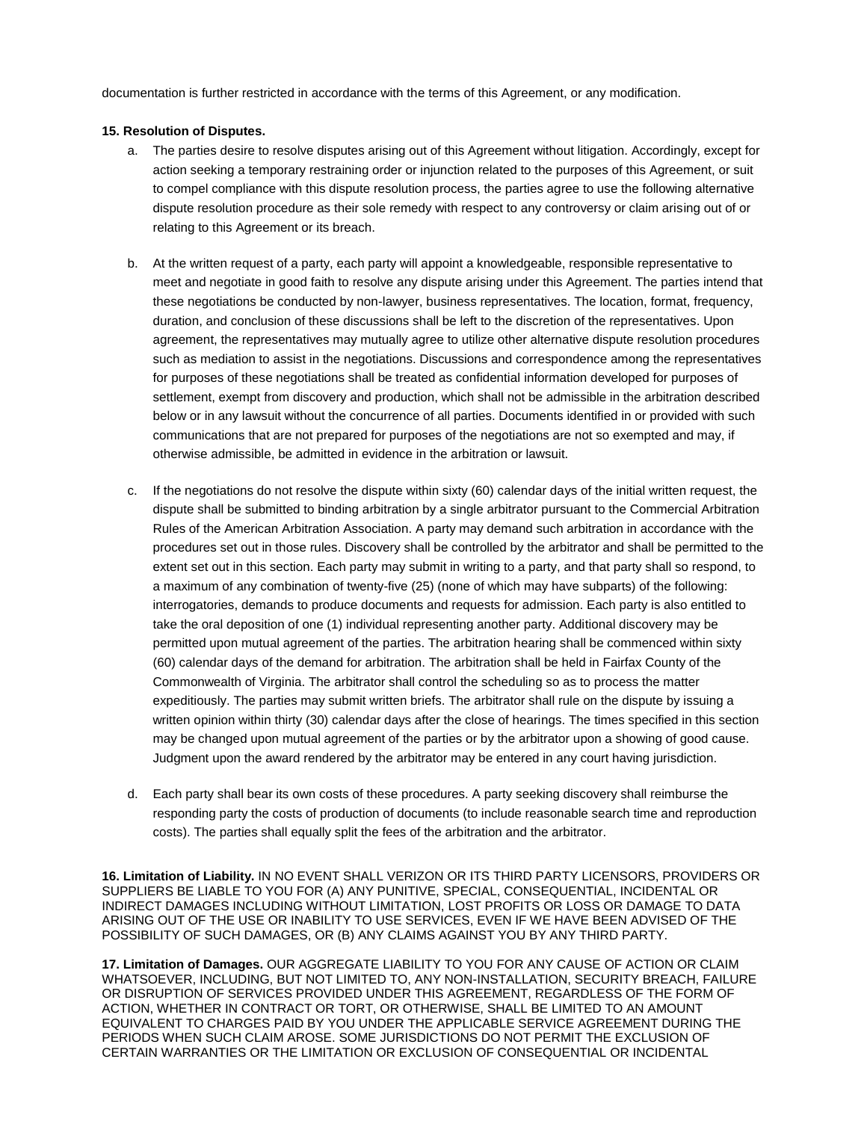documentation is further restricted in accordance with the terms of this Agreement, or any modification.

#### **15. Resolution of Disputes.**

- a. The parties desire to resolve disputes arising out of this Agreement without litigation. Accordingly, except for action seeking a temporary restraining order or injunction related to the purposes of this Agreement, or suit to compel compliance with this dispute resolution process, the parties agree to use the following alternative dispute resolution procedure as their sole remedy with respect to any controversy or claim arising out of or relating to this Agreement or its breach.
- b. At the written request of a party, each party will appoint a knowledgeable, responsible representative to meet and negotiate in good faith to resolve any dispute arising under this Agreement. The parties intend that these negotiations be conducted by non-lawyer, business representatives. The location, format, frequency, duration, and conclusion of these discussions shall be left to the discretion of the representatives. Upon agreement, the representatives may mutually agree to utilize other alternative dispute resolution procedures such as mediation to assist in the negotiations. Discussions and correspondence among the representatives for purposes of these negotiations shall be treated as confidential information developed for purposes of settlement, exempt from discovery and production, which shall not be admissible in the arbitration described below or in any lawsuit without the concurrence of all parties. Documents identified in or provided with such communications that are not prepared for purposes of the negotiations are not so exempted and may, if otherwise admissible, be admitted in evidence in the arbitration or lawsuit.
- c. If the negotiations do not resolve the dispute within sixty (60) calendar days of the initial written request, the dispute shall be submitted to binding arbitration by a single arbitrator pursuant to the Commercial Arbitration Rules of the American Arbitration Association. A party may demand such arbitration in accordance with the procedures set out in those rules. Discovery shall be controlled by the arbitrator and shall be permitted to the extent set out in this section. Each party may submit in writing to a party, and that party shall so respond, to a maximum of any combination of twenty-five (25) (none of which may have subparts) of the following: interrogatories, demands to produce documents and requests for admission. Each party is also entitled to take the oral deposition of one (1) individual representing another party. Additional discovery may be permitted upon mutual agreement of the parties. The arbitration hearing shall be commenced within sixty (60) calendar days of the demand for arbitration. The arbitration shall be held in Fairfax County of the Commonwealth of Virginia. The arbitrator shall control the scheduling so as to process the matter expeditiously. The parties may submit written briefs. The arbitrator shall rule on the dispute by issuing a written opinion within thirty (30) calendar days after the close of hearings. The times specified in this section may be changed upon mutual agreement of the parties or by the arbitrator upon a showing of good cause. Judgment upon the award rendered by the arbitrator may be entered in any court having jurisdiction.
- d. Each party shall bear its own costs of these procedures. A party seeking discovery shall reimburse the responding party the costs of production of documents (to include reasonable search time and reproduction costs). The parties shall equally split the fees of the arbitration and the arbitrator.

**16. Limitation of Liability.** IN NO EVENT SHALL VERIZON OR ITS THIRD PARTY LICENSORS, PROVIDERS OR SUPPLIERS BE LIABLE TO YOU FOR (A) ANY PUNITIVE, SPECIAL, CONSEQUENTIAL, INCIDENTAL OR INDIRECT DAMAGES INCLUDING WITHOUT LIMITATION, LOST PROFITS OR LOSS OR DAMAGE TO DATA ARISING OUT OF THE USE OR INABILITY TO USE SERVICES, EVEN IF WE HAVE BEEN ADVISED OF THE POSSIBILITY OF SUCH DAMAGES, OR (B) ANY CLAIMS AGAINST YOU BY ANY THIRD PARTY.

**17. Limitation of Damages.** OUR AGGREGATE LIABILITY TO YOU FOR ANY CAUSE OF ACTION OR CLAIM WHATSOEVER, INCLUDING, BUT NOT LIMITED TO, ANY NON-INSTALLATION, SECURITY BREACH, FAILURE OR DISRUPTION OF SERVICES PROVIDED UNDER THIS AGREEMENT, REGARDLESS OF THE FORM OF ACTION, WHETHER IN CONTRACT OR TORT, OR OTHERWISE, SHALL BE LIMITED TO AN AMOUNT EQUIVALENT TO CHARGES PAID BY YOU UNDER THE APPLICABLE SERVICE AGREEMENT DURING THE PERIODS WHEN SUCH CLAIM AROSE. SOME JURISDICTIONS DO NOT PERMIT THE EXCLUSION OF CERTAIN WARRANTIES OR THE LIMITATION OR EXCLUSION OF CONSEQUENTIAL OR INCIDENTAL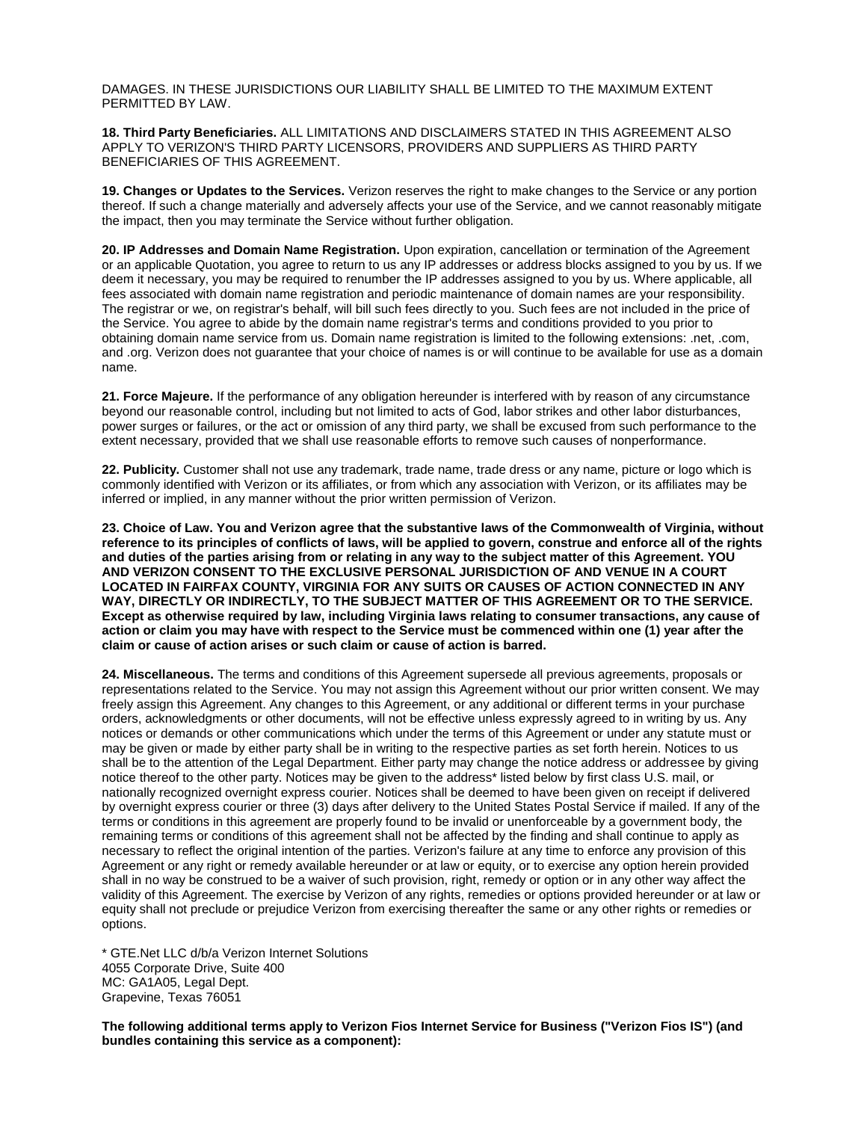DAMAGES. IN THESE JURISDICTIONS OUR LIABILITY SHALL BE LIMITED TO THE MAXIMUM EXTENT PERMITTED BY LAW.

**18. Third Party Beneficiaries.** ALL LIMITATIONS AND DISCLAIMERS STATED IN THIS AGREEMENT ALSO APPLY TO VERIZON'S THIRD PARTY LICENSORS, PROVIDERS AND SUPPLIERS AS THIRD PARTY BENEFICIARIES OF THIS AGREEMENT.

**19. Changes or Updates to the Services.** Verizon reserves the right to make changes to the Service or any portion thereof. If such a change materially and adversely affects your use of the Service, and we cannot reasonably mitigate the impact, then you may terminate the Service without further obligation.

**20. IP Addresses and Domain Name Registration.** Upon expiration, cancellation or termination of the Agreement or an applicable Quotation, you agree to return to us any IP addresses or address blocks assigned to you by us. If we deem it necessary, you may be required to renumber the IP addresses assigned to you by us. Where applicable, all fees associated with domain name registration and periodic maintenance of domain names are your responsibility. The registrar or we, on registrar's behalf, will bill such fees directly to you. Such fees are not included in the price of the Service. You agree to abide by the domain name registrar's terms and conditions provided to you prior to obtaining domain name service from us. Domain name registration is limited to the following extensions: .net, .com, and .org. Verizon does not guarantee that your choice of names is or will continue to be available for use as a domain name.

**21. Force Majeure.** If the performance of any obligation hereunder is interfered with by reason of any circumstance beyond our reasonable control, including but not limited to acts of God, labor strikes and other labor disturbances, power surges or failures, or the act or omission of any third party, we shall be excused from such performance to the extent necessary, provided that we shall use reasonable efforts to remove such causes of nonperformance.

**22. Publicity.** Customer shall not use any trademark, trade name, trade dress or any name, picture or logo which is commonly identified with Verizon or its affiliates, or from which any association with Verizon, or its affiliates may be inferred or implied, in any manner without the prior written permission of Verizon.

**23. Choice of Law. You and Verizon agree that the substantive laws of the Commonwealth of Virginia, without reference to its principles of conflicts of laws, will be applied to govern, construe and enforce all of the rights and duties of the parties arising from or relating in any way to the subject matter of this Agreement. YOU AND VERIZON CONSENT TO THE EXCLUSIVE PERSONAL JURISDICTION OF AND VENUE IN A COURT LOCATED IN FAIRFAX COUNTY, VIRGINIA FOR ANY SUITS OR CAUSES OF ACTION CONNECTED IN ANY WAY, DIRECTLY OR INDIRECTLY, TO THE SUBJECT MATTER OF THIS AGREEMENT OR TO THE SERVICE. Except as otherwise required by law, including Virginia laws relating to consumer transactions, any cause of action or claim you may have with respect to the Service must be commenced within one (1) year after the claim or cause of action arises or such claim or cause of action is barred.**

**24. Miscellaneous.** The terms and conditions of this Agreement supersede all previous agreements, proposals or representations related to the Service. You may not assign this Agreement without our prior written consent. We may freely assign this Agreement. Any changes to this Agreement, or any additional or different terms in your purchase orders, acknowledgments or other documents, will not be effective unless expressly agreed to in writing by us. Any notices or demands or other communications which under the terms of this Agreement or under any statute must or may be given or made by either party shall be in writing to the respective parties as set forth herein. Notices to us shall be to the attention of the Legal Department. Either party may change the notice address or addressee by giving notice thereof to the other party. Notices may be given to the address\* listed below by first class U.S. mail, or nationally recognized overnight express courier. Notices shall be deemed to have been given on receipt if delivered by overnight express courier or three (3) days after delivery to the United States Postal Service if mailed. If any of the terms or conditions in this agreement are properly found to be invalid or unenforceable by a government body, the remaining terms or conditions of this agreement shall not be affected by the finding and shall continue to apply as necessary to reflect the original intention of the parties. Verizon's failure at any time to enforce any provision of this Agreement or any right or remedy available hereunder or at law or equity, or to exercise any option herein provided shall in no way be construed to be a waiver of such provision, right, remedy or option or in any other way affect the validity of this Agreement. The exercise by Verizon of any rights, remedies or options provided hereunder or at law or equity shall not preclude or prejudice Verizon from exercising thereafter the same or any other rights or remedies or options.

\* GTE.Net LLC d/b/a Verizon Internet Solutions 4055 Corporate Drive, Suite 400 MC: GA1A05, Legal Dept. Grapevine, Texas 76051

**The following additional terms apply to Verizon Fios Internet Service for Business ("Verizon Fios IS") (and bundles containing this service as a component):**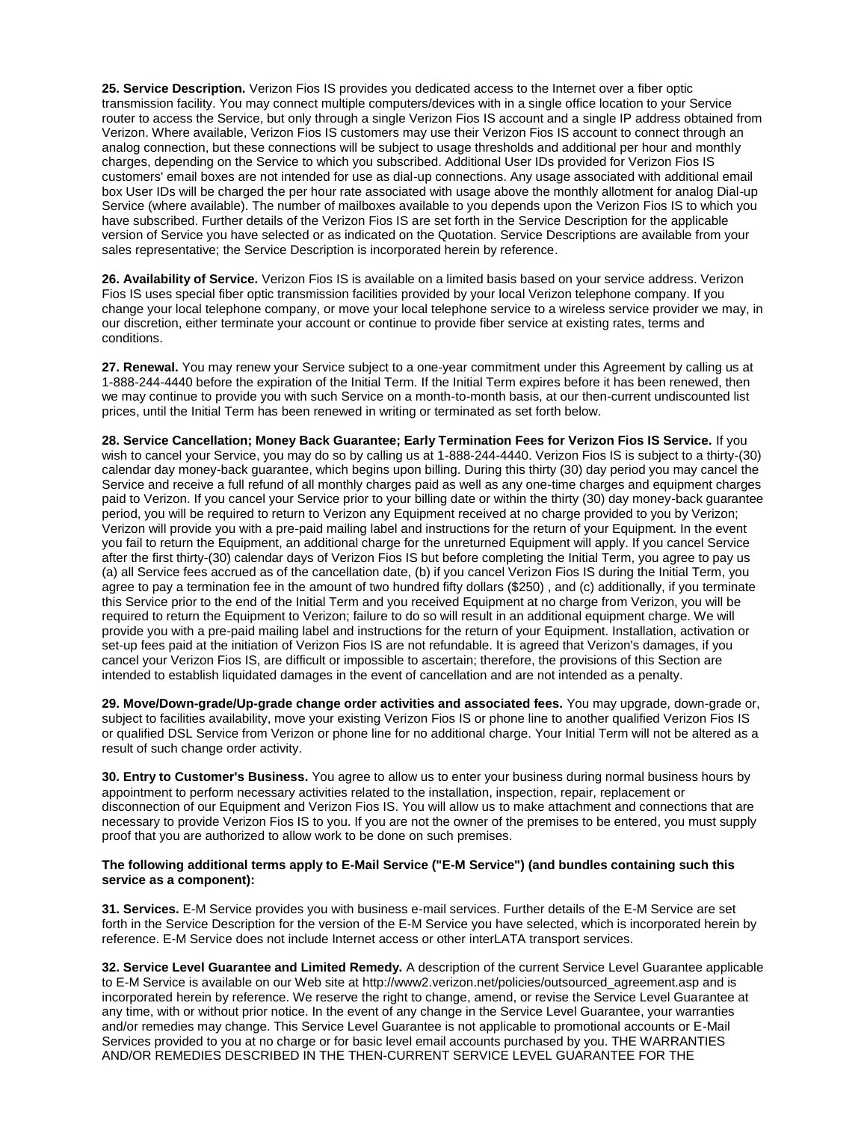**25. Service Description.** Verizon Fios IS provides you dedicated access to the Internet over a fiber optic transmission facility. You may connect multiple computers/devices with in a single office location to your Service router to access the Service, but only through a single Verizon Fios IS account and a single IP address obtained from Verizon. Where available, Verizon Fios IS customers may use their Verizon Fios IS account to connect through an analog connection, but these connections will be subject to usage thresholds and additional per hour and monthly charges, depending on the Service to which you subscribed. Additional User IDs provided for Verizon Fios IS customers' email boxes are not intended for use as dial-up connections. Any usage associated with additional email box User IDs will be charged the per hour rate associated with usage above the monthly allotment for analog Dial-up Service (where available). The number of mailboxes available to you depends upon the Verizon Fios IS to which you have subscribed. Further details of the Verizon Fios IS are set forth in the Service Description for the applicable version of Service you have selected or as indicated on the Quotation. Service Descriptions are available from your sales representative; the Service Description is incorporated herein by reference.

**26. Availability of Service.** Verizon Fios IS is available on a limited basis based on your service address. Verizon Fios IS uses special fiber optic transmission facilities provided by your local Verizon telephone company. If you change your local telephone company, or move your local telephone service to a wireless service provider we may, in our discretion, either terminate your account or continue to provide fiber service at existing rates, terms and conditions.

**27. Renewal.** You may renew your Service subject to a one-year commitment under this Agreement by calling us at 1-888-244-4440 before the expiration of the Initial Term. If the Initial Term expires before it has been renewed, then we may continue to provide you with such Service on a month-to-month basis, at our then-current undiscounted list prices, until the Initial Term has been renewed in writing or terminated as set forth below.

**28. Service Cancellation; Money Back Guarantee; Early Termination Fees for Verizon Fios IS Service.** If you wish to cancel your Service, you may do so by calling us at 1-888-244-4440. Verizon Fios IS is subject to a thirty-(30) calendar day money-back guarantee, which begins upon billing. During this thirty (30) day period you may cancel the Service and receive a full refund of all monthly charges paid as well as any one-time charges and equipment charges paid to Verizon. If you cancel your Service prior to your billing date or within the thirty (30) day money-back guarantee period, you will be required to return to Verizon any Equipment received at no charge provided to you by Verizon; Verizon will provide you with a pre-paid mailing label and instructions for the return of your Equipment. In the event you fail to return the Equipment, an additional charge for the unreturned Equipment will apply. If you cancel Service after the first thirty-(30) calendar days of Verizon Fios IS but before completing the Initial Term, you agree to pay us (a) all Service fees accrued as of the cancellation date, (b) if you cancel Verizon Fios IS during the Initial Term, you agree to pay a termination fee in the amount of two hundred fifty dollars (\$250) , and (c) additionally, if you terminate this Service prior to the end of the Initial Term and you received Equipment at no charge from Verizon, you will be required to return the Equipment to Verizon; failure to do so will result in an additional equipment charge. We will provide you with a pre-paid mailing label and instructions for the return of your Equipment. Installation, activation or set-up fees paid at the initiation of Verizon Fios IS are not refundable. It is agreed that Verizon's damages, if you cancel your Verizon Fios IS, are difficult or impossible to ascertain; therefore, the provisions of this Section are intended to establish liquidated damages in the event of cancellation and are not intended as a penalty.

**29. Move/Down-grade/Up-grade change order activities and associated fees.** You may upgrade, down-grade or, subject to facilities availability, move your existing Verizon Fios IS or phone line to another qualified Verizon Fios IS or qualified DSL Service from Verizon or phone line for no additional charge. Your Initial Term will not be altered as a result of such change order activity.

**30. Entry to Customer's Business.** You agree to allow us to enter your business during normal business hours by appointment to perform necessary activities related to the installation, inspection, repair, replacement or disconnection of our Equipment and Verizon Fios IS. You will allow us to make attachment and connections that are necessary to provide Verizon Fios IS to you. If you are not the owner of the premises to be entered, you must supply proof that you are authorized to allow work to be done on such premises.

#### **The following additional terms apply to E-Mail Service ("E-M Service") (and bundles containing such this service as a component):**

**31. Services.** E-M Service provides you with business e-mail services. Further details of the E-M Service are set forth in the Service Description for the version of the E-M Service you have selected, which is incorporated herein by reference. E-M Service does not include Internet access or other interLATA transport services.

**32. Service Level Guarantee and Limited Remedy.** A description of the current Service Level Guarantee applicable to E-M Service is available on our Web site at http://www2.verizon.net/policies/outsourced\_agreement.asp and is incorporated herein by reference. We reserve the right to change, amend, or revise the Service Level Guarantee at any time, with or without prior notice. In the event of any change in the Service Level Guarantee, your warranties and/or remedies may change. This Service Level Guarantee is not applicable to promotional accounts or E-Mail Services provided to you at no charge or for basic level email accounts purchased by you. THE WARRANTIES AND/OR REMEDIES DESCRIBED IN THE THEN-CURRENT SERVICE LEVEL GUARANTEE FOR THE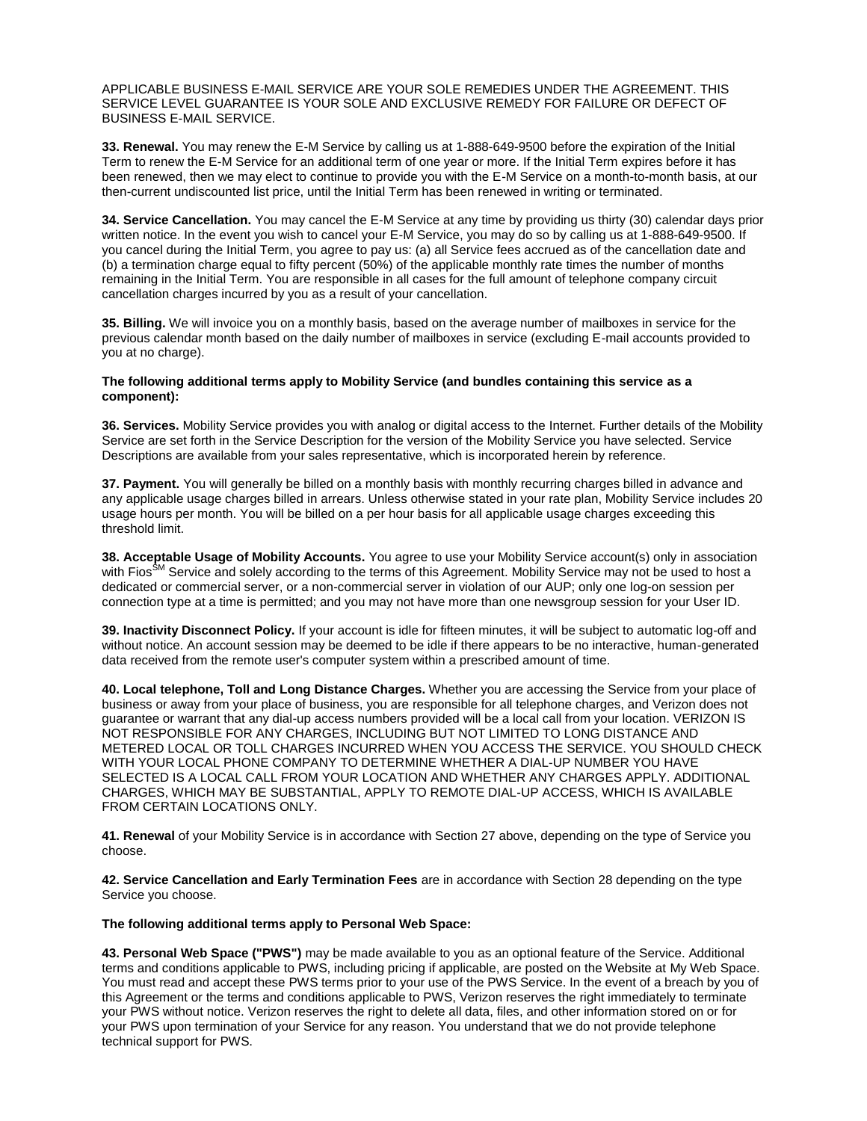APPLICABLE BUSINESS E-MAIL SERVICE ARE YOUR SOLE REMEDIES UNDER THE AGREEMENT. THIS SERVICE LEVEL GUARANTEE IS YOUR SOLE AND EXCLUSIVE REMEDY FOR FAILURE OR DEFECT OF BUSINESS E-MAIL SERVICE.

**33. Renewal.** You may renew the E-M Service by calling us at 1-888-649-9500 before the expiration of the Initial Term to renew the E-M Service for an additional term of one year or more. If the Initial Term expires before it has been renewed, then we may elect to continue to provide you with the E-M Service on a month-to-month basis, at our then-current undiscounted list price, until the Initial Term has been renewed in writing or terminated.

**34. Service Cancellation.** You may cancel the E-M Service at any time by providing us thirty (30) calendar days prior written notice. In the event you wish to cancel your E-M Service, you may do so by calling us at 1-888-649-9500. If you cancel during the Initial Term, you agree to pay us: (a) all Service fees accrued as of the cancellation date and (b) a termination charge equal to fifty percent (50%) of the applicable monthly rate times the number of months remaining in the Initial Term. You are responsible in all cases for the full amount of telephone company circuit cancellation charges incurred by you as a result of your cancellation.

**35. Billing.** We will invoice you on a monthly basis, based on the average number of mailboxes in service for the previous calendar month based on the daily number of mailboxes in service (excluding E-mail accounts provided to you at no charge).

#### **The following additional terms apply to Mobility Service (and bundles containing this service as a component):**

**36. Services.** Mobility Service provides you with analog or digital access to the Internet. Further details of the Mobility Service are set forth in the Service Description for the version of the Mobility Service you have selected. Service Descriptions are available from your sales representative, which is incorporated herein by reference.

**37. Payment.** You will generally be billed on a monthly basis with monthly recurring charges billed in advance and any applicable usage charges billed in arrears. Unless otherwise stated in your rate plan, Mobility Service includes 20 usage hours per month. You will be billed on a per hour basis for all applicable usage charges exceeding this threshold limit.

**38. Acceptable Usage of Mobility Accounts.** You agree to use your Mobility Service account(s) only in association with Fios<sup>SM</sup> Service and solely according to the terms of this Agreement. Mobility Service may not be used to host a dedicated or commercial server, or a non-commercial server in violation of our AUP; only one log-on session per connection type at a time is permitted; and you may not have more than one newsgroup session for your User ID.

**39. Inactivity Disconnect Policy.** If your account is idle for fifteen minutes, it will be subject to automatic log-off and without notice. An account session may be deemed to be idle if there appears to be no interactive, human-generated data received from the remote user's computer system within a prescribed amount of time.

**40. Local telephone, Toll and Long Distance Charges.** Whether you are accessing the Service from your place of business or away from your place of business, you are responsible for all telephone charges, and Verizon does not guarantee or warrant that any dial-up access numbers provided will be a local call from your location. VERIZON IS NOT RESPONSIBLE FOR ANY CHARGES, INCLUDING BUT NOT LIMITED TO LONG DISTANCE AND METERED LOCAL OR TOLL CHARGES INCURRED WHEN YOU ACCESS THE SERVICE. YOU SHOULD CHECK WITH YOUR LOCAL PHONE COMPANY TO DETERMINE WHETHER A DIAL-UP NUMBER YOU HAVE SELECTED IS A LOCAL CALL FROM YOUR LOCATION AND WHETHER ANY CHARGES APPLY. ADDITIONAL CHARGES, WHICH MAY BE SUBSTANTIAL, APPLY TO REMOTE DIAL-UP ACCESS, WHICH IS AVAILABLE FROM CERTAIN LOCATIONS ONLY.

**41. Renewal** of your Mobility Service is in accordance with Section 27 above, depending on the type of Service you choose.

**42. Service Cancellation and Early Termination Fees** are in accordance with Section 28 depending on the type Service you choose.

#### **The following additional terms apply to Personal Web Space:**

**43. Personal Web Space ("PWS")** may be made available to you as an optional feature of the Service. Additional terms and conditions applicable to PWS, including pricing if applicable, are posted on the Website at My Web Space. You must read and accept these PWS terms prior to your use of the PWS Service. In the event of a breach by you of this Agreement or the terms and conditions applicable to PWS, Verizon reserves the right immediately to terminate your PWS without notice. Verizon reserves the right to delete all data, files, and other information stored on or for your PWS upon termination of your Service for any reason. You understand that we do not provide telephone technical support for PWS.